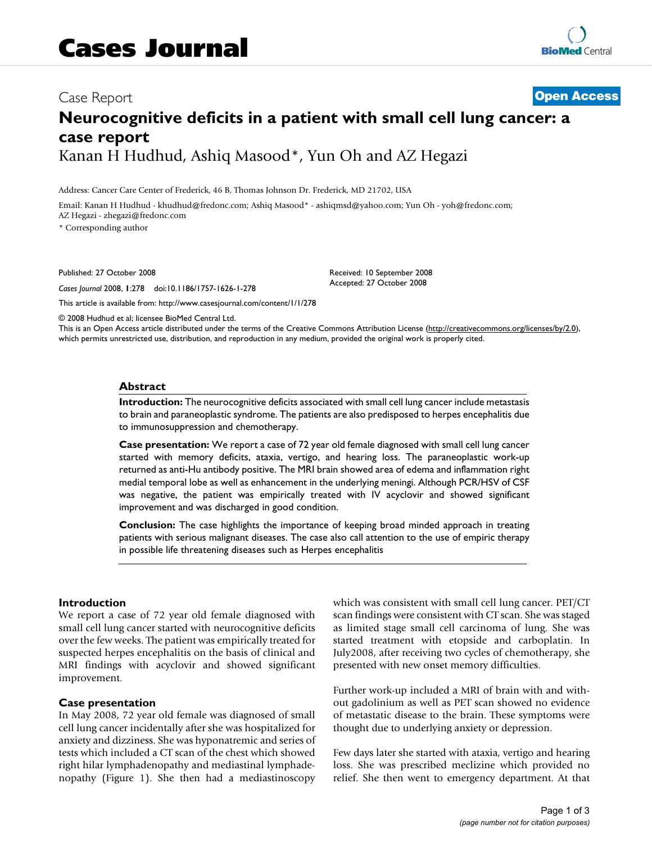# Case Report **[Open Access](http://www.biomedcentral.com/info/about/charter/)**

# **Neurocognitive deficits in a patient with small cell lung cancer: a case report** Kanan H Hudhud, Ashiq Masood\*, Yun Oh and AZ Hegazi

Address: Cancer Care Center of Frederick, 46 B, Thomas Johnson Dr. Frederick, MD 21702, USA

Email: Kanan H Hudhud - khudhud@fredonc.com; Ashiq Masood\* - ashiqmsd@yahoo.com; Yun Oh - yoh@fredonc.com; AZ Hegazi - zhegazi@fredonc.com

\* Corresponding author

Published: 27 October 2008

*Cases Journal* 2008, **1**:278 doi:10.1186/1757-1626-1-278

[This article is available from: http://www.casesjournal.com/content/1/1/278](http://www.casesjournal.com/content/1/1/278)

Received: 10 September 2008 Accepted: 27 October 2008

© 2008 Hudhud et al; licensee BioMed Central Ltd.

This is an Open Access article distributed under the terms of the Creative Commons Attribution License [\(http://creativecommons.org/licenses/by/2.0\)](http://creativecommons.org/licenses/by/2.0), which permits unrestricted use, distribution, and reproduction in any medium, provided the original work is properly cited.

#### **Abstract**

**Introduction:** The neurocognitive deficits associated with small cell lung cancer include metastasis to brain and paraneoplastic syndrome. The patients are also predisposed to herpes encephalitis due to immunosuppression and chemotherapy.

**Case presentation:** We report a case of 72 year old female diagnosed with small cell lung cancer started with memory deficits, ataxia, vertigo, and hearing loss. The paraneoplastic work-up returned as anti-Hu antibody positive. The MRI brain showed area of edema and inflammation right medial temporal lobe as well as enhancement in the underlying meningi. Although PCR/HSV of CSF was negative, the patient was empirically treated with IV acyclovir and showed significant improvement and was discharged in good condition.

**Conclusion:** The case highlights the importance of keeping broad minded approach in treating patients with serious malignant diseases. The case also call attention to the use of empiric therapy in possible life threatening diseases such as Herpes encephalitis

#### **Introduction**

We report a case of 72 year old female diagnosed with small cell lung cancer started with neurocognitive deficits over the few weeks. The patient was empirically treated for suspected herpes encephalitis on the basis of clinical and MRI findings with acyclovir and showed significant improvement.

#### **Case presentation**

In May 2008, 72 year old female was diagnosed of small cell lung cancer incidentally after she was hospitalized for anxiety and dizziness. She was hyponatremic and series of tests which included a CT scan of the chest which showed right hilar lymphadenopathy and mediastinal lymphadenopathy (Figure 1). She then had a mediastinoscopy which was consistent with small cell lung cancer. PET/CT scan findings were consistent with CT scan. She was staged as limited stage small cell carcinoma of lung. She was started treatment with etopside and carboplatin. In July2008, after receiving two cycles of chemotherapy, she presented with new onset memory difficulties.

Further work-up included a MRI of brain with and without gadolinium as well as PET scan showed no evidence of metastatic disease to the brain. These symptoms were thought due to underlying anxiety or depression.

Few days later she started with ataxia, vertigo and hearing loss. She was prescribed meclizine which provided no relief. She then went to emergency department. At that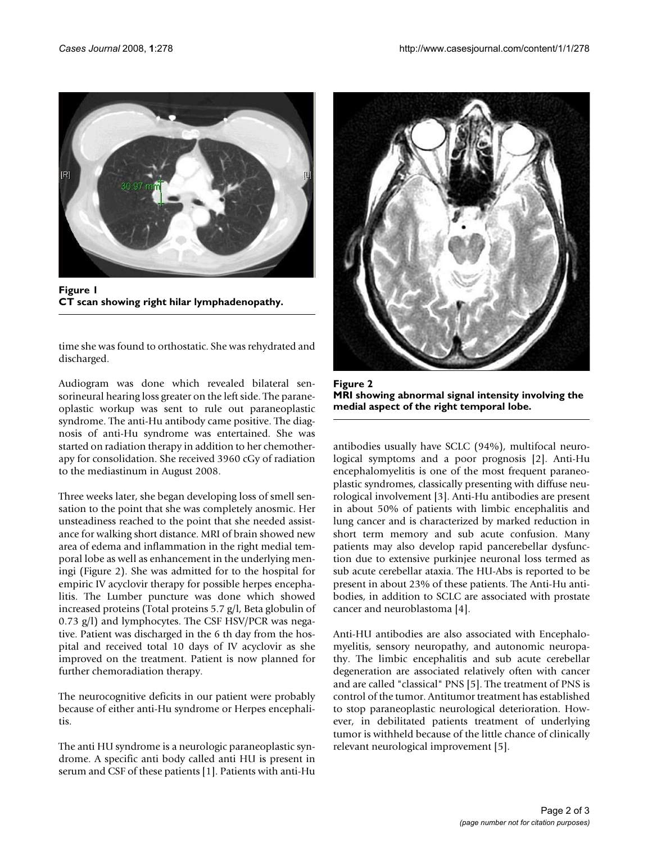

Figure 1 **CT scan showing right hilar lymphadenopathy.**

time she was found to orthostatic. She was rehydrated and discharged.

Audiogram was done which revealed bilateral sensorineural hearing loss greater on the left side. The paraneoplastic workup was sent to rule out paraneoplastic syndrome. The anti-Hu antibody came positive. The diagnosis of anti-Hu syndrome was entertained. She was started on radiation therapy in addition to her chemotherapy for consolidation. She received 3960 cGy of radiation to the mediastinum in August 2008.

Three weeks later, she began developing loss of smell sensation to the point that she was completely anosmic. Her unsteadiness reached to the point that she needed assistance for walking short distance. MRI of brain showed new area of edema and inflammation in the right medial temporal lobe as well as enhancement in the underlying meningi (Figure 2). She was admitted for to the hospital for empiric IV acyclovir therapy for possible herpes encephalitis. The Lumber puncture was done which showed increased proteins (Total proteins 5.7 g/l, Beta globulin of 0.73 g/l) and lymphocytes. The CSF HSV/PCR was negative. Patient was discharged in the 6 th day from the hospital and received total 10 days of IV acyclovir as she improved on the treatment. Patient is now planned for further chemoradiation therapy.

The neurocognitive deficits in our patient were probably because of either anti-Hu syndrome or Herpes encephalitis.

The anti HU syndrome is a neurologic paraneoplastic syndrome. A specific anti body called anti HU is present in serum and CSF of these patients [1]. Patients with anti-Hu



**Figure 2 MRI showing abnormal signal intensity involving the medial aspect of the right temporal lobe.**

antibodies usually have SCLC (94%), multifocal neurological symptoms and a poor prognosis [2]. Anti-Hu encephalomyelitis is one of the most frequent paraneoplastic syndromes, classically presenting with diffuse neurological involvement [3]. Anti-Hu antibodies are present in about 50% of patients with limbic encephalitis and lung cancer and is characterized by marked reduction in short term memory and sub acute confusion. Many patients may also develop rapid pancerebellar dysfunction due to extensive purkinjee neuronal loss termed as sub acute cerebellar ataxia. The HU-Abs is reported to be present in about 23% of these patients. The Anti-Hu antibodies, in addition to SCLC are associated with prostate cancer and neuroblastoma [4].

Anti-HU antibodies are also associated with Encephalomyelitis, sensory neuropathy, and autonomic neuropathy. The limbic encephalitis and sub acute cerebellar degeneration are associated relatively often with cancer and are called "classical" PNS [5]. The treatment of PNS is control of the tumor. Antitumor treatment has established to stop paraneoplastic neurological deterioration. However, in debilitated patients treatment of underlying tumor is withheld because of the little chance of clinically relevant neurological improvement [5].